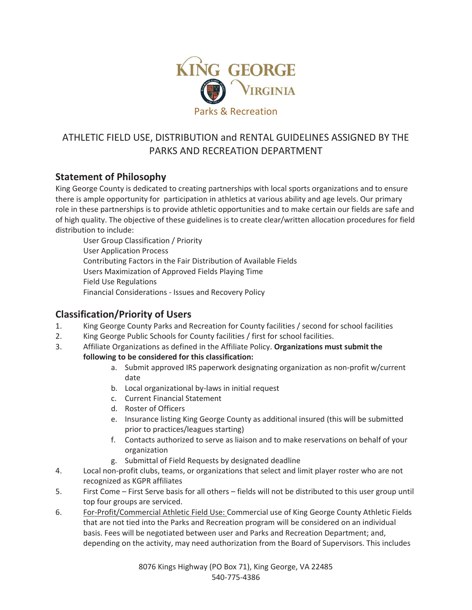

# ATHLETIC FIELD USE, DISTRIBUTION and RENTAL GUIDELINES ASSIGNED BY THE PARKS AND RECREATION DEPARTMENT

## **Statement of Philosophy**

King George County is dedicated to creating partnerships with local sports organizations and to ensure there is ample opportunity for participation in athletics at various ability and age levels. Our primary role in these partnerships is to provide athletic opportunities and to make certain our fields are safe and of high quality. The objective of these guidelines is to create clear/written allocation procedures for field distribution to include:

 User Group Classification / Priority User Application Process Contributing Factors in the Fair Distribution of Available Fields Users Maximization of Approved Fields Playing Time Field Use Regulations Financial Considerations - Issues and Recovery Policy

## **Classification/Priority of Users**

- 1. King George County Parks and Recreation for County facilities / second for school facilities
- 2. King George Public Schools for County facilities / first for school facilities.
- 3. Affiliate Organizations as defined in the Affiliate Policy. **Organizations must submit the following to be considered for this classification:** 
	- a. Submit approved IRS paperwork designating organization as non-profit w/current date
	- b. Local organizational by-laws in initial request
	- c. Current Financial Statement
	- d. Roster of Officers
	- e. Insurance listing King George County as additional insured (this will be submitted prior to practices/leagues starting)
	- f. Contacts authorized to serve as liaison and to make reservations on behalf of your organization
	- g. Submittal of Field Requests by designated deadline
- 4. Local non-profit clubs, teams, or organizations that select and limit player roster who are not recognized as KGPR affiliates
- 5. First Come First Serve basis for all others fields will not be distributed to this user group until top four groups are serviced.
- 6. For-Profit/Commercial Athletic Field Use: Commercial use of King George County Athletic Fields that are not tied into the Parks and Recreation program will be considered on an individual basis. Fees will be negotiated between user and Parks and Recreation Department; and, depending on the activity, may need authorization from the Board of Supervisors. This includes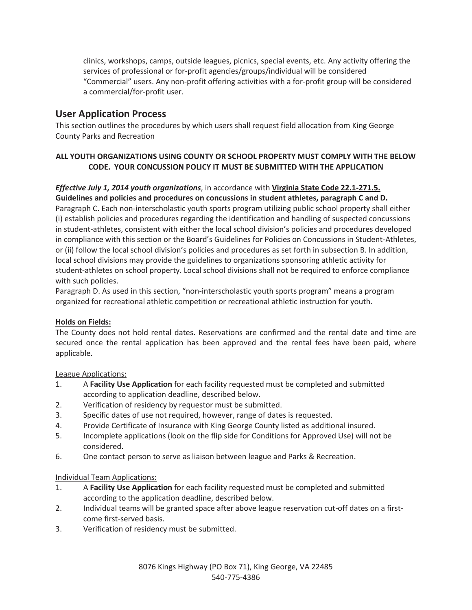clinics, workshops, camps, outside leagues, picnics, special events, etc. Any activity offering the services of professional or for-profit agencies/groups/individual will be considered "Commercial" users. Any non-profit offering activities with a for-profit group will be considered a commercial/for-profit user.

## **User Application Process**

This section outlines the procedures by which users shall request field allocation from King George County Parks and Recreation

## **ALL YOUTH ORGANIZATIONS USING COUNTY OR SCHOOL PROPERTY MUST COMPLY WITH THE BELOW CODE. YOUR CONCUSSION POLICY IT MUST BE SUBMITTED WITH THE APPLICATION**

### *Effective July 1, 2014 youth organizations*, in accordance with **Virginia State Code 22.1-271.5. Guidelines and policies and procedures on concussions in student athletes, paragraph C and D.**

Paragraph C. Each non-interscholastic youth sports program utilizing public school property shall either (i) establish policies and procedures regarding the identification and handling of suspected concussions in student-athletes, consistent with either the local school division's policies and procedures developed in compliance with this section or the Board's Guidelines for Policies on Concussions in Student-Athletes, or (ii) follow the local school division's policies and procedures as set forth in subsection B. In addition, local school divisions may provide the guidelines to organizations sponsoring athletic activity for student-athletes on school property. Local school divisions shall not be required to enforce compliance with such policies.

Paragraph D. As used in this section, "non-interscholastic youth sports program" means a program organized for recreational athletic competition or recreational athletic instruction for youth.

## **Holds on Fields:**

The County does not hold rental dates. Reservations are confirmed and the rental date and time are secured once the rental application has been approved and the rental fees have been paid, where applicable.

#### League Applications:

- 1. A **Facility Use Application** for each facility requested must be completed and submitted according to application deadline, described below.
- 2. Verification of residency by requestor must be submitted.
- 3. Specific dates of use not required, however, range of dates is requested.
- 4. Provide Certificate of Insurance with King George County listed as additional insured.
- 5. Incomplete applications (look on the flip side for Conditions for Approved Use) will not be considered.
- 6. One contact person to serve as liaison between league and Parks & Recreation.

#### Individual Team Applications:

- 1. A **Facility Use Application** for each facility requested must be completed and submitted according to the application deadline, described below.
- 2. Individual teams will be granted space after above league reservation cut-off dates on a firstcome first-served basis.
- 3. Verification of residency must be submitted.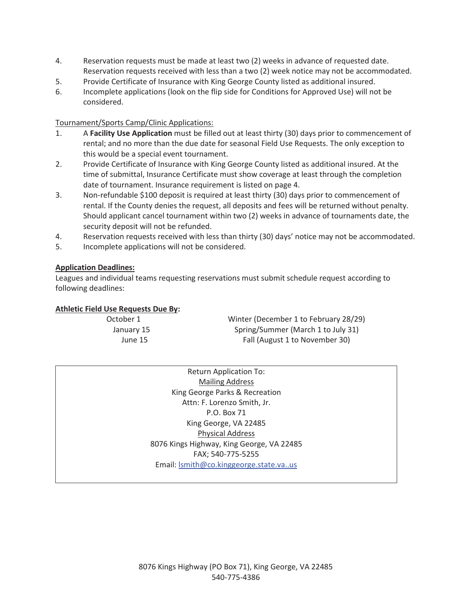- 4. Reservation requests must be made at least two (2) weeks in advance of requested date. Reservation requests received with less than a two (2) week notice may not be accommodated.
- 5. Provide Certificate of Insurance with King George County listed as additional insured.
- 6. Incomplete applications (look on the flip side for Conditions for Approved Use) will not be considered.

#### Tournament/Sports Camp/Clinic Applications:

- 1. A **Facility Use Application** must be filled out at least thirty (30) days prior to commencement of rental; and no more than the due date for seasonal Field Use Requests. The only exception to this would be a special event tournament.
- 2. Provide Certificate of Insurance with King George County listed as additional insured. At the time of submittal, Insurance Certificate must show coverage at least through the completion date of tournament. Insurance requirement is listed on page 4.
- 3. Non-refundable \$100 deposit is required at least thirty (30) days prior to commencement of rental. If the County denies the request, all deposits and fees will be returned without penalty. Should applicant cancel tournament within two (2) weeks in advance of tournaments date, the security deposit will not be refunded.
- 4. Reservation requests received with less than thirty (30) days' notice may not be accommodated.
- 5. Incomplete applications will not be considered.

#### **Application Deadlines:**

Leagues and individual teams requesting reservations must submit schedule request according to following deadlines:

#### **Athletic Field Use Requests Due By:**

October 1 Winter (December 1 to February 28/29) January 15 Spring/Summer (March 1 to July 31) June 15 Fall (August 1 to November 30)

> Return Application To: Mailing Address King George Parks & Recreation Attn: F. Lorenzo Smith, Jr. P.O. Box 71 King George, VA 22485 Physical Address 8076 Kings Highway, King George, VA 22485 FAX; 540-775-5255 Email: lsmith@co.kinggeorge.state.va..us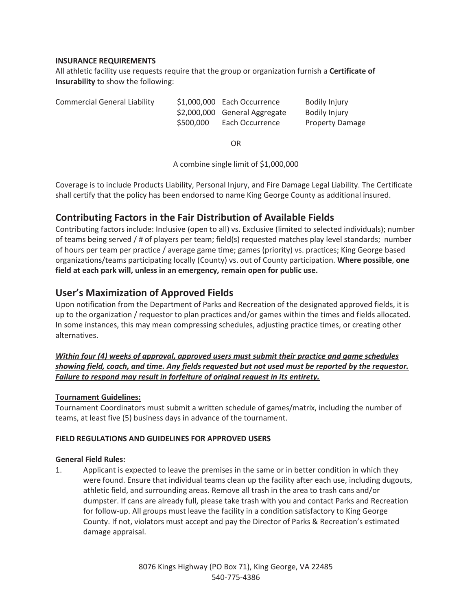#### **INSURANCE REQUIREMENTS**

All athletic facility use requests require that the group or organization furnish a **Certificate of Insurability** to show the following:

| <b>Commercial General Liability</b> | \$1,000,000 Each Occurrence<br>\$2,000,000 General Aggregate<br>\$500,000 | Each Occurrence | Bodily Injury<br>Bodily Injury<br><b>Property Damage</b> |
|-------------------------------------|---------------------------------------------------------------------------|-----------------|----------------------------------------------------------|
|-------------------------------------|---------------------------------------------------------------------------|-----------------|----------------------------------------------------------|

OR

A combine single limit of \$1,000,000

Coverage is to include Products Liability, Personal Injury, and Fire Damage Legal Liability. The Certificate shall certify that the policy has been endorsed to name King George County as additional insured.

## **Contributing Factors in the Fair Distribution of Available Fields**

Contributing factors include: Inclusive (open to all) vs. Exclusive (limited to selected individuals); number of teams being served / # of players per team; field(s) requested matches play level standards; number of hours per team per practice / average game time; games (priority) vs. practices; King George based organizations/teams participating locally (County) vs. out of County participation. **Where possible**, **one field at each park will, unless in an emergency, remain open for public use.**

## **User's Maximization of Approved Fields**

Upon notification from the Department of Parks and Recreation of the designated approved fields, it is up to the organization / requestor to plan practices and/or games within the times and fields allocated. In some instances, this may mean compressing schedules, adjusting practice times, or creating other alternatives.

## *Within four (4) weeks of approval, approved users must submit their practice and game schedules showing field, coach, and time. Any fields requested but not used must be reported by the requestor. Failure to respond may result in forfeiture of original request in its entirety.*

## **Tournament Guidelines:**

Tournament Coordinators must submit a written schedule of games/matrix, including the number of teams, at least five (5) business days in advance of the tournament.

#### **FIELD REGULATIONS AND GUIDELINES FOR APPROVED USERS**

#### **General Field Rules:**

1. Applicant is expected to leave the premises in the same or in better condition in which they were found. Ensure that individual teams clean up the facility after each use, including dugouts, athletic field, and surrounding areas. Remove all trash in the area to trash cans and/or dumpster. If cans are already full, please take trash with you and contact Parks and Recreation for follow-up. All groups must leave the facility in a condition satisfactory to King George County. If not, violators must accept and pay the Director of Parks & Recreation's estimated damage appraisal.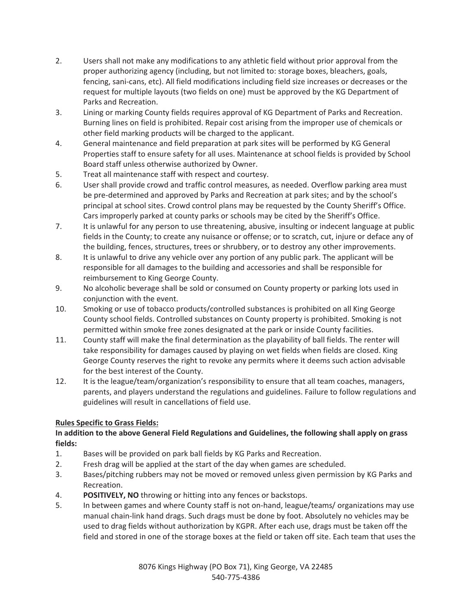- 2. Users shall not make any modifications to any athletic field without prior approval from the proper authorizing agency (including, but not limited to: storage boxes, bleachers, goals, fencing, sani-cans, etc). All field modifications including field size increases or decreases or the request for multiple layouts (two fields on one) must be approved by the KG Department of Parks and Recreation.
- 3. Lining or marking County fields requires approval of KG Department of Parks and Recreation. Burning lines on field is prohibited. Repair cost arising from the improper use of chemicals or other field marking products will be charged to the applicant.
- 4. General maintenance and field preparation at park sites will be performed by KG General Properties staff to ensure safety for all uses. Maintenance at school fields is provided by School Board staff unless otherwise authorized by Owner.
- 5. Treat all maintenance staff with respect and courtesy.
- 6. User shall provide crowd and traffic control measures, as needed. Overflow parking area must be pre-determined and approved by Parks and Recreation at park sites; and by the school's principal at school sites. Crowd control plans may be requested by the County Sheriff's Office. Cars improperly parked at county parks or schools may be cited by the Sheriff's Office.
- 7. It is unlawful for any person to use threatening, abusive, insulting or indecent language at public fields in the County; to create any nuisance or offense; or to scratch, cut, injure or deface any of the building, fences, structures, trees or shrubbery, or to destroy any other improvements.
- 8. It is unlawful to drive any vehicle over any portion of any public park. The applicant will be responsible for all damages to the building and accessories and shall be responsible for reimbursement to King George County.
- 9. No alcoholic beverage shall be sold or consumed on County property or parking lots used in conjunction with the event.
- 10. Smoking or use of tobacco products/controlled substances is prohibited on all King George County school fields. Controlled substances on County property is prohibited. Smoking is not permitted within smoke free zones designated at the park or inside County facilities.
- 11. County staff will make the final determination as the playability of ball fields. The renter will take responsibility for damages caused by playing on wet fields when fields are closed. King George County reserves the right to revoke any permits where it deems such action advisable for the best interest of the County.
- 12. It is the league/team/organization's responsibility to ensure that all team coaches, managers, parents, and players understand the regulations and guidelines. Failure to follow regulations and guidelines will result in cancellations of field use.

## **Rules Specific to Grass Fields:**

## **In addition to the above General Field Regulations and Guidelines, the following shall apply on grass fields:**

- 1. Bases will be provided on park ball fields by KG Parks and Recreation.
- 2. Fresh drag will be applied at the start of the day when games are scheduled.
- 3. Bases/pitching rubbers may not be moved or removed unless given permission by KG Parks and Recreation.
- 4. **POSITIVELY, NO** throwing or hitting into any fences or backstops.
- 5. In between games and where County staff is not on-hand, league/teams/ organizations may use manual chain-link hand drags. Such drags must be done by foot. Absolutely no vehicles may be used to drag fields without authorization by KGPR. After each use, drags must be taken off the field and stored in one of the storage boxes at the field or taken off site. Each team that uses the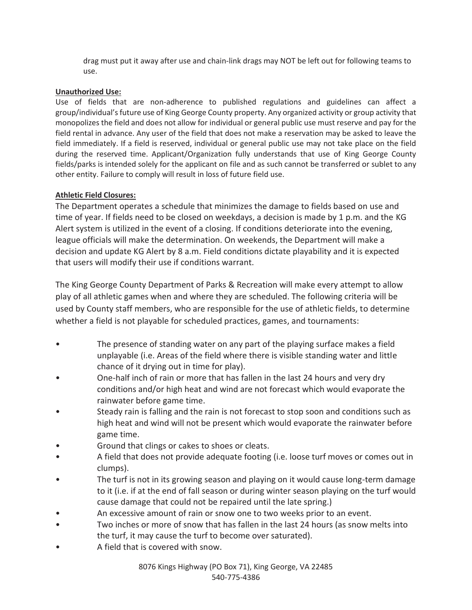drag must put it away after use and chain-link drags may NOT be left out for following teams to use.

### **Unauthorized Use:**

Use of fields that are non-adherence to published regulations and guidelines can affect a group/individual's future use of King George County property. Any organized activity or group activity that monopolizes the field and does not allow for individual or general public use must reserve and pay for the field rental in advance. Any user of the field that does not make a reservation may be asked to leave the field immediately. If a field is reserved, individual or general public use may not take place on the field during the reserved time. Applicant/Organization fully understands that use of King George County fields/parks is intended solely for the applicant on file and as such cannot be transferred or sublet to any other entity. Failure to comply will result in loss of future field use.

## **Athletic Field Closures:**

The Department operates a schedule that minimizes the damage to fields based on use and time of year. If fields need to be closed on weekdays, a decision is made by 1 p.m. and the KG Alert system is utilized in the event of a closing. If conditions deteriorate into the evening, league officials will make the determination. On weekends, the Department will make a decision and update KG Alert by 8 a.m. Field conditions dictate playability and it is expected that users will modify their use if conditions warrant.

The King George County Department of Parks & Recreation will make every attempt to allow play of all athletic games when and where they are scheduled. The following criteria will be used by County staff members, who are responsible for the use of athletic fields, to determine whether a field is not playable for scheduled practices, games, and tournaments:

- The presence of standing water on any part of the playing surface makes a field unplayable (i.e. Areas of the field where there is visible standing water and little chance of it drying out in time for play).
- One-half inch of rain or more that has fallen in the last 24 hours and very dry conditions and/or high heat and wind are not forecast which would evaporate the rainwater before game time.
- Steady rain is falling and the rain is not forecast to stop soon and conditions such as high heat and wind will not be present which would evaporate the rainwater before game time.
- Ground that clings or cakes to shoes or cleats.
- A field that does not provide adequate footing (i.e. loose turf moves or comes out in clumps).
- The turf is not in its growing season and playing on it would cause long-term damage to it (i.e. if at the end of fall season or during winter season playing on the turf would cause damage that could not be repaired until the late spring.)
- An excessive amount of rain or snow one to two weeks prior to an event.
- Two inches or more of snow that has fallen in the last 24 hours (as snow melts into the turf, it may cause the turf to become over saturated).
- A field that is covered with snow.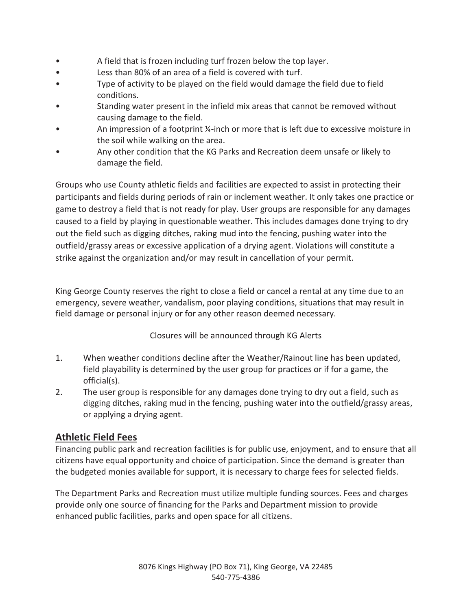- A field that is frozen including turf frozen below the top layer.
- Less than 80% of an area of a field is covered with turf.
- Type of activity to be played on the field would damage the field due to field conditions.
- Standing water present in the infield mix areas that cannot be removed without causing damage to the field.
- An impression of a footprint ¼-inch or more that is left due to excessive moisture in the soil while walking on the area.
- Any other condition that the KG Parks and Recreation deem unsafe or likely to damage the field.

Groups who use County athletic fields and facilities are expected to assist in protecting their participants and fields during periods of rain or inclement weather. It only takes one practice or game to destroy a field that is not ready for play. User groups are responsible for any damages caused to a field by playing in questionable weather. This includes damages done trying to dry out the field such as digging ditches, raking mud into the fencing, pushing water into the outfield/grassy areas or excessive application of a drying agent. Violations will constitute a strike against the organization and/or may result in cancellation of your permit.

King George County reserves the right to close a field or cancel a rental at any time due to an emergency, severe weather, vandalism, poor playing conditions, situations that may result in field damage or personal injury or for any other reason deemed necessary.

Closures will be announced through KG Alerts

- 1. When weather conditions decline after the Weather/Rainout line has been updated, field playability is determined by the user group for practices or if for a game, the official(s).
- 2. The user group is responsible for any damages done trying to dry out a field, such as digging ditches, raking mud in the fencing, pushing water into the outfield/grassy areas, or applying a drying agent.

## **Athletic Field Fees**

Financing public park and recreation facilities is for public use, enjoyment, and to ensure that all citizens have equal opportunity and choice of participation. Since the demand is greater than the budgeted monies available for support, it is necessary to charge fees for selected fields.

The Department Parks and Recreation must utilize multiple funding sources. Fees and charges provide only one source of financing for the Parks and Department mission to provide enhanced public facilities, parks and open space for all citizens.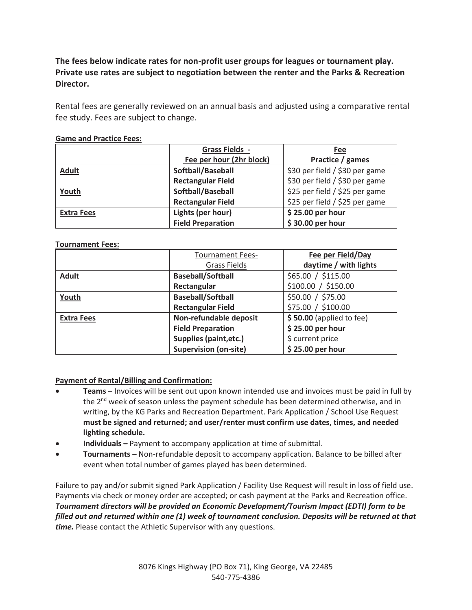**The fees below indicate rates for non-profit user groups for leagues or tournament play. Private use rates are subject to negotiation between the renter and the Parks & Recreation Director.** 

Rental fees are generally reviewed on an annual basis and adjusted using a comparative rental fee study. Fees are subject to change.

|                   | <b>Grass Fields -</b>    | Fee                            |  |
|-------------------|--------------------------|--------------------------------|--|
|                   | Fee per hour (2hr block) | Practice / games               |  |
| <b>Adult</b>      | Softball/Baseball        | \$30 per field / \$30 per game |  |
|                   | <b>Rectangular Field</b> | \$30 per field / \$30 per game |  |
| Youth             | Softball/Baseball        | \$25 per field / \$25 per game |  |
|                   | <b>Rectangular Field</b> | \$25 per field / \$25 per game |  |
| <b>Extra Fees</b> | Lights (per hour)        | \$25.00 per hour               |  |
|                   | <b>Field Preparation</b> | \$30.00 per hour               |  |

### **Game and Practice Fees:**

### **Tournament Fees:**

|                   | <b>Tournament Fees-</b>       | Fee per Field/Day         |
|-------------------|-------------------------------|---------------------------|
|                   | <b>Grass Fields</b>           | daytime / with lights     |
| <b>Adult</b>      | <b>Baseball/Softball</b>      | \$65.00 / \$115.00        |
|                   | Rectangular                   | \$100.00 / \$150.00       |
| Youth             | <b>Baseball/Softball</b>      | \$50.00 / \$75.00         |
|                   | <b>Rectangular Field</b>      | \$75.00 / \$100.00        |
| <b>Extra Fees</b> | Non-refundable deposit        | $$50.00$ (applied to fee) |
|                   | <b>Field Preparation</b>      | \$25.00 per hour          |
|                   | <b>Supplies (paint, etc.)</b> | \$ current price          |
|                   | <b>Supervision (on-site)</b>  | \$25.00 per hour          |

## **Payment of Rental/Billing and Confirmation:**

- x **Teams** Invoices will be sent out upon known intended use and invoices must be paid in full by the  $2<sup>nd</sup>$  week of season unless the payment schedule has been determined otherwise, and in writing, by the KG Parks and Recreation Department. Park Application / School Use Request **must be signed and returned; and user/renter must confirm use dates, times, and needed lighting schedule.**
- x **Individuals** Payment to accompany application at time of submittal.
- x **Tournaments** Non-refundable deposit to accompany application. Balance to be billed after event when total number of games played has been determined.

Failure to pay and/or submit signed Park Application / Facility Use Request will result in loss of field use. Payments via check or money order are accepted; or cash payment at the Parks and Recreation office. *Tournament directors will be provided an Economic Development/Tourism Impact (EDTI) form to be filled out and returned within one (1) week of tournament conclusion. Deposits will be returned at that time.* Please contact the Athletic Supervisor with any questions.